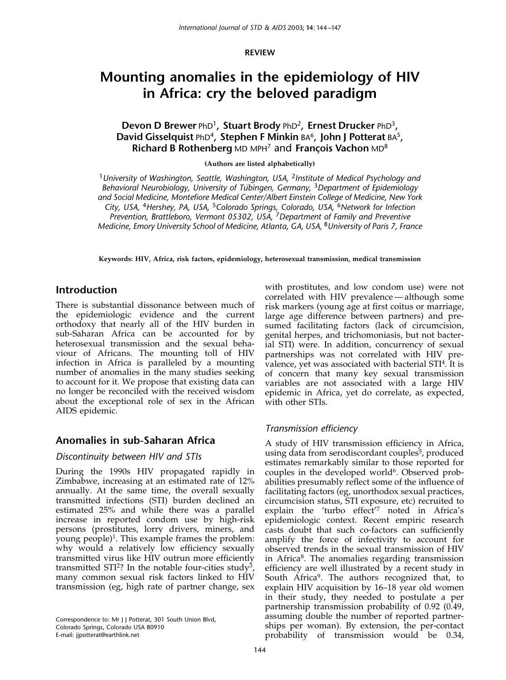REVIEW

# Mounting anomalies in the epidemiology of HIV in Africa: cry the beloved paradigm

Devon D Brewer PhD<sup>1</sup>, Stuart Brody PhD<sup>2</sup>, Ernest Drucker PhD<sup>3</sup>, David Gisselquist PhD<sup>4</sup>, Stephen F Minkin BA<sup>6</sup>, John J Potterat BA<sup>5</sup>, Richard B Rothenberg MD MPH<sup>7</sup> and François Vachon MD<sup>8</sup>

(Authors are listed alphabetically)

<sup>1</sup> University of Washington, Seattle, Washington, USA, <sup>2</sup>Institute of Medical Psychology and Behavioral Neurobiology, University of Tübingen, Germany,  $3$ Department of Epidemiology and Social Medicine, Montefiore Medical Center/Albert Einstein College of Medicine, New York City, USA, <sup>4</sup>Hershey, PA, USA, <sup>5</sup>Colorado Springs, Colorado, USA, <sup>6</sup>Network for Infection Prevention, Brattleboro, Vermont 05302, USA, 7Department of Family and Preventive Medicine, Emory University School of Medicine, Atlanta, GA, USA, <sup>8</sup>University of Paris 7, France

Keywords: HIV, Africa, risk factors, epidemiology, heterosexual transmission, medical transmission

### Introduction

There is substantial dissonance between much of the epidemiologic evidence and the current orthodoxy that nearly all of the HIV burden in sub-Saharan Africa can be accounted for by heterosexual transmission and the sexual behaviour of Africans. The mounting toll of HIV infection in Africa is paralleled by a mounting number of anomalies in the many studies seeking to account for it. We propose that existing data can no longer be reconciled with the received wisdom about the exceptional role of sex in the African AIDS epidemic.

# Anomalies in sub-Saharan Africa

#### Discontinuity between HIV and STIs

During the 1990s HIV propagated rapidly in Zimbabwe, increasing at an estimated rate of 12% annually. At the same time, the overall sexually transmitted infections (STI) burden declined an estimated 25% and while there was a parallel increase in reported condom use by high-risk persons (prostitutes, lorry drivers, miners, and young people)<sup>1</sup>. This example frames the problem: why would a relatively low efficiency sexually transmitted virus like HIV outrun more efficiently transmitted STI<sup>2</sup>? In the notable four-cities study<sup>3</sup>, many common sexual risk factors linked to HIV transmission (eg, high rate of partner change, sex

Correspondence to: Mr J J Potterat, 301 South Union Blvd, Colorado Springs, Colorado USA 80910 E-mail: jjpotterat@earthlink.net

with prostitutes, and low condom use) were not correlated with HIV prevalence — although some risk markers (young age at first coitus or marriage, large age difference between partners) and presumed facilitating factors (lack of circumcision, genital herpes, and trichomoniasis, but not bacterial STI) were. In addition, concurrency of sexual partnerships was not correlated with HIV prevalence, yet was associated with bacterial STI4. It is of concern that many key sexual transmission variables are not associated with a large HIV epidemic in Africa, yet do correlate, as expected, with other STIs.

# Transmission efficiency

A study of HIV transmission efficiency in Africa, using data from serodiscordant couples<sup>5</sup>, produced estimates remarkably similar to those reported for couples in the developed world $6$ . Observed probabilities presumably reflect some of the influence of facilitating factors (eg, unorthodox sexual practices, circumcision status, STI exposure, etc) recruited to explain the 'turbo effect'7 noted in Africa's epidemiologic context. Recent empiric research casts doubt that such co-factors can sufficiently amplify the force of infectivity to account for observed trends in the sexual transmission of HIV in Africa<sup>8</sup>. The anomalies regarding transmission efficiency are well illustrated by a recent study in South Africa<sup>9</sup>. The authors recognized that, to explain HIV acquisition by 16–18 year old women in their study, they needed to postulate a per partnership transmission probability of 0.92 (0.49, assuming double the number of reported partnerships per woman). By extension, the per-contact probability of transmission would be 0.34,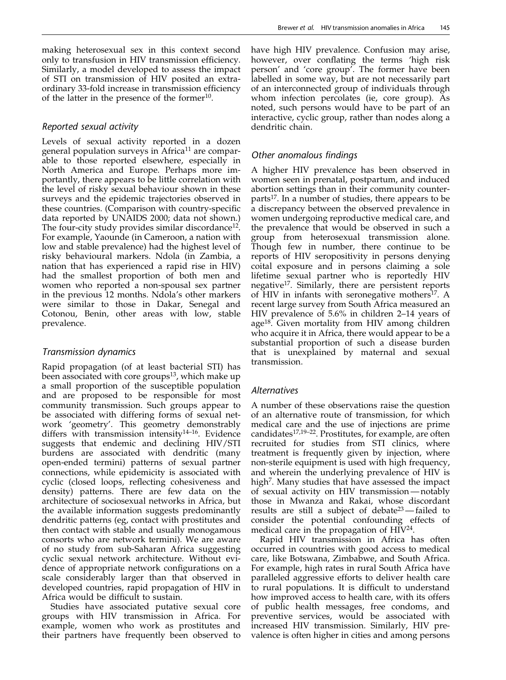making heterosexual sex in this context second only to transfusion in HIV transmission efficiency. Similarly, a model developed to assess the impact of STI on transmission of HIV posited an extraordinary 33-fold increase in transmission efficiency of the latter in the presence of the former $10$ .

#### Reported sexual activity

Levels of sexual activity reported in a dozen general population surveys in Africa<sup>11</sup> are comparable to those reported elsewhere, especially in North America and Europe. Perhaps more importantly, there appears to be little correlation with the level of risky sexual behaviour shown in these surveys and the epidemic trajectories observed in these countries. (Comparison with country-specific data reported by UNAIDS 2000; data not shown.) The four-city study provides similar discordance<sup>12</sup>. For example, Yaounde (in Cameroon, a nation with low and stable prevalence) had the highest level of risky behavioural markers. Ndola (in Zambia, a nation that has experienced a rapid rise in HIV) had the smallest proportion of both men and women who reported a non-spousal sex partner in the previous 12 months. Ndola's other markers were similar to those in Dakar, Senegal and Cotonou, Benin, other areas with low, stable prevalence.

#### Transmission dynamics

Rapid propagation (of at least bacterial STI) has been associated with core groups<sup>13</sup>, which make up a small proportion of the susceptible population and are proposed to be responsible for most community transmission. Such groups appear to be associated with differing forms of sexual network 'geometry'. This geometry demonstrably differs with transmission intensity<sup>14-16</sup>. Evidence suggests that endemic and declining HIV/STI burdens are associated with dendritic (many open-ended termini) patterns of sexual partner connections, while epidemicity is associated with cyclic (closed loops, reflecting cohesiveness and density) patterns. There are few data on the architecture of sociosexual networks in Africa, but the available information suggests predominantly dendritic patterns (eg, contact with prostitutes and then contact with stable and usually monogamous consorts who are network termini). We are aware of no study from sub-Saharan Africa suggesting cyclic sexual network architecture. Without evidence of appropriate network configurations on a scale considerably larger than that observed in developed countries, rapid propagation of HIV in Africa would be difficult to sustain.

Studies have associated putative sexual core groups with HIV transmission in Africa. For example, women who work as prostitutes and their partners have frequently been observed to have high HIV prevalence. Confusion may arise, however, over conflating the terms 'high risk person' and 'core group'. The former have been labelled in some way, but are not necessarily part of an interconnected group of individuals through whom infection percolates (ie, core group). As noted, such persons would have to be part of an interactive, cyclic group, rather than nodes along a dendritic chain.

#### Other anomalous findings

A higher HIV prevalence has been observed in women seen in prenatal, postpartum, and induced abortion settings than in their community counterparts<sup>17</sup>. In a number of studies, there appears to be a discrepancy between the observed prevalence in women undergoing reproductive medical care, and the prevalence that would be observed in such a group from heterosexual transmission alone. Though few in number, there continue to be reports of HIV seropositivity in persons denying coital exposure and in persons claiming a sole lifetime sexual partner who is reportedly HIV negative17. Similarly, there are persistent reports of HIV in infants with seronegative mothers<sup>17</sup>. A recent large survey from South Africa measured an HIV prevalence of 5.6% in children 2–14 years of age<sup>18</sup>. Given mortality from HIV among children who acquire it in Africa, there would appear to be a substantial proportion of such a disease burden that is unexplained by maternal and sexual transmission.

#### Alternatives

A number of these observations raise the question of an alternative route of transmission, for which medical care and the use of injections are prime candidates<sup>17,19-22</sup>. Prostitutes, for example, are often recruited for studies from STI clinics, where treatment is frequently given by injection, where non-sterile equipment is used with high frequency, and wherein the underlying prevalence of HIV is high<sup>7</sup>. Many studies that have assessed the impact of sexual activity on HIV transmission — notably those in Mwanza and Rakai, whose discordant results are still a subject of debate23 — failed to consider the potential confounding effects of medical care in the propagation of HIV<sup>24</sup>.

Rapid HIV transmission in Africa has often occurred in countries with good access to medical care, like Botswana, Zimbabwe, and South Africa. For example, high rates in rural South Africa have paralleled aggressive efforts to deliver health care to rural populations. It is difficult to understand how improved access to health care, with its offers of public health messages, free condoms, and preventive services, would be associated with increased HIV transmission. Similarly, HIV prevalence is often higher in cities and among persons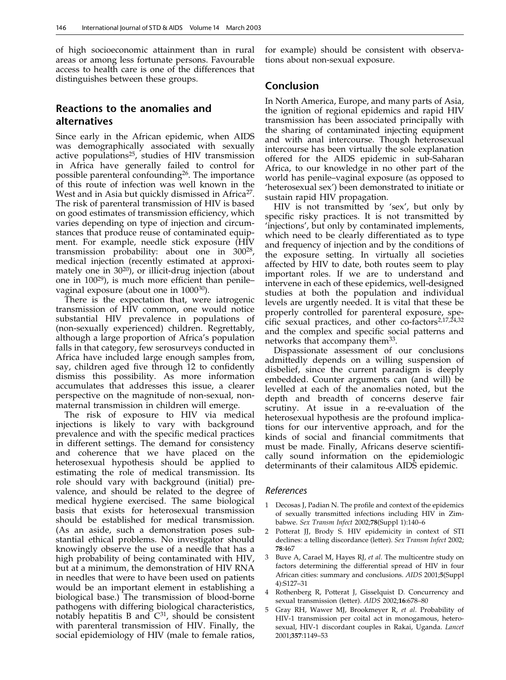of high socioeconomic attainment than in rural areas or among less fortunate persons. Favourable access to health care is one of the differences that distinguishes between these groups.

# Reactions to the anomalies and alternatives

Since early in the African epidemic, when AIDS was demographically associated with sexually active populations<sup>25</sup>, studies of HIV transmission in Africa have generally failed to control for possible parenteral confounding<sup>26</sup>. The importance of this route of infection was well known in the West and in Asia but quickly dismissed in Africa<sup>27</sup>. The risk of parenteral transmission of HIV is based on good estimates of transmission efficiency, which varies depending on type of injection and circumstances that produce reuse of contaminated equipment. For example, needle stick exposure (HIV transmission probability: about one in 30028, medical injection (recently estimated at approximately one in 3020), or illicit-drug injection (about one in  $100^{29}$ ), is much more efficient than penilevaginal exposure (about one in 100030).

There is the expectation that, were iatrogenic transmission of HIV common, one would notice substantial HIV prevalence in populations of (non-sexually experienced) children. Regrettably, although a large proportion of Africa's population falls in that category, few serosurveys conducted in Africa have included large enough samples from, say, children aged five through 12 to confidently dismiss this possibility. As more information accumulates that addresses this issue, a clearer perspective on the magnitude of non-sexual, nonmaternal transmission in children will emerge.

The risk of exposure to HIV via medical injections is likely to vary with background prevalence and with the specific medical practices in different settings. The demand for consistency and coherence that we have placed on the heterosexual hypothesis should be applied to estimating the role of medical transmission. Its role should vary with background (initial) prevalence, and should be related to the degree of medical hygiene exercised. The same biological basis that exists for heterosexual transmission should be established for medical transmission. (As an aside, such a demonstration poses substantial ethical problems. No investigator should knowingly observe the use of a needle that has a high probability of being contaminated with HIV, but at a minimum, the demonstration of HIV RNA in needles that were to have been used on patients would be an important element in establishing a biological base.) The transmission of blood-borne pathogens with differing biological characteristics, notably hepatitis B and  $C^{31}$ , should be consistent with parenteral transmission of HIV. Finally, the social epidemiology of HIV (male to female ratios,

for example) should be consistent with observations about non-sexual exposure.

#### Conclusion

In North America, Europe, and many parts of Asia, the ignition of regional epidemics and rapid HIV transmission has been associated principally with the sharing of contaminated injecting equipment and with anal intercourse. Though heterosexual intercourse has been virtually the sole explanation offered for the AIDS epidemic in sub-Saharan Africa, to our knowledge in no other part of the world has penile–vaginal exposure (as opposed to 'heterosexual sex') been demonstrated to initiate or sustain rapid HIV propagation.

HIV is not transmitted by 'sex', but only by specific risky practices. It is not transmitted by 'injections', but only by contaminated implements, which need to be clearly differentiated as to type and frequency of injection and by the conditions of the exposure setting. In virtually all societies affected by HIV to date, both routes seem to play important roles. If we are to understand and intervene in each of these epidemics, well-designed studies at both the population and individual levels are urgently needed. It is vital that these be properly controlled for parenteral exposure, specific sexual practices, and other co-factors $2,17,24,32$ and the complex and specific social patterns and networks that accompany them<sup>33</sup>.

Dispassionate assessment of our conclusions admittedly depends on a willing suspension of disbelief, since the current paradigm is deeply embedded. Counter arguments can (and will) be levelled at each of the anomalies noted, but the depth and breadth of concerns deserve fair scrutiny. At issue in a re-evaluation of the heterosexual hypothesis are the profound implications for our interventive approach, and for the kinds of social and financial commitments that must be made. Finally, Africans deserve scientifically sound information on the epidemiologic determinants of their calamitous AIDS epidemic.

#### References

- 1 Decosas J, Padian N. The profile and context of the epidemics of sexually transmitted infections including HIV in Zimbabwe. Sex Transm Infect 2002;78(Suppl 1):140–6
- 2 Potterat JJ, Brody S. HIV epidemicity in context of STI declines: a telling discordance (letter). Sex Transm Infect 2002; 78:467
- Buve A, Carael M, Hayes RJ, et al. The multicentre study on factors determining the differential spread of HIV in four African cities: summary and conclusions. AIDS 2001;5(Suppl 4):S127–31
- Rothenberg R, Potterat J, Gisselquist D. Concurrency and sexual transmission (letter). AIDS 2002;16:678–80
- 5 Gray RH, Wawer MJ, Brookmeyer R, et al. Probability of HIV-1 transmission per coital act in monogamous, heterosexual, HIV-1 discordant couples in Rakai, Uganda. Lancet 2001;357:1149–53